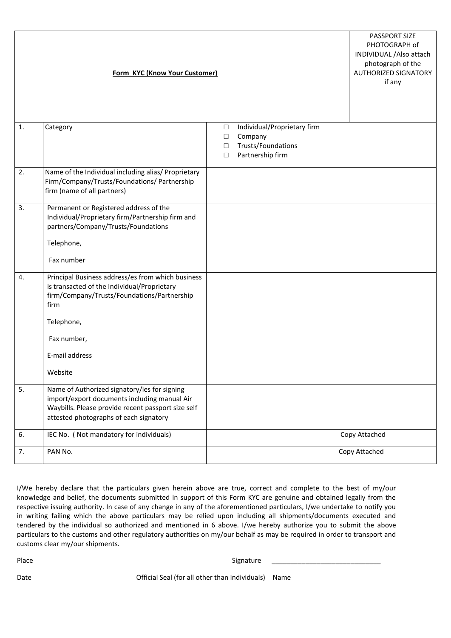|    | Form KYC (Know Your Customer)                                                                                                                                                                                     |                                                                                                                          | PASSPORT SIZE<br>PHOTOGRAPH of<br>INDIVIDUAL / Also attach<br>photograph of the<br><b>AUTHORIZED SIGNATORY</b><br>if any |
|----|-------------------------------------------------------------------------------------------------------------------------------------------------------------------------------------------------------------------|--------------------------------------------------------------------------------------------------------------------------|--------------------------------------------------------------------------------------------------------------------------|
| 1. | Category                                                                                                                                                                                                          | Individual/Proprietary firm<br>$\Box$<br>Company<br>$\Box$<br>Trusts/Foundations<br>$\Box$<br>Partnership firm<br>$\Box$ |                                                                                                                          |
| 2. | Name of the Individual including alias/ Proprietary<br>Firm/Company/Trusts/Foundations/ Partnership<br>firm (name of all partners)                                                                                |                                                                                                                          |                                                                                                                          |
| 3. | Permanent or Registered address of the<br>Individual/Proprietary firm/Partnership firm and<br>partners/Company/Trusts/Foundations<br>Telephone,<br>Fax number                                                     |                                                                                                                          |                                                                                                                          |
| 4. | Principal Business address/es from which business<br>is transacted of the Individual/Proprietary<br>firm/Company/Trusts/Foundations/Partnership<br>firm<br>Telephone,<br>Fax number,<br>E-mail address<br>Website |                                                                                                                          |                                                                                                                          |
| 5. | Name of Authorized signatory/ies for signing<br>import/export documents including manual Air<br>Waybills. Please provide recent passport size self<br>attested photographs of each signatory                      |                                                                                                                          |                                                                                                                          |
| 6. | IEC No. ( Not mandatory for individuals)                                                                                                                                                                          |                                                                                                                          | Copy Attached                                                                                                            |
| 7. | PAN No.                                                                                                                                                                                                           |                                                                                                                          | Copy Attached                                                                                                            |

I/We hereby declare that the particulars given herein above are true, correct and complete to the best of my/our knowledge and belief, the documents submitted in support of this Form KYC are genuine and obtained legally from the respective issuing authority. In case of any change in any of the aforementioned particulars, I/we undertake to notify you in writing failing which the above particulars may be relied upon including all shipments/documents executed and tendered by the individual so authorized and mentioned in 6 above. I/we hereby authorize you to submit the above particulars to the customs and other regulatory authorities on my/our behalf as may be required in order to transport and customs clear my/our shipments.

Place enterpret of the state of the Signature of Signature  $\frac{1}{2}$ 

Date **Date Official Seal (for all other than individuals)** Name